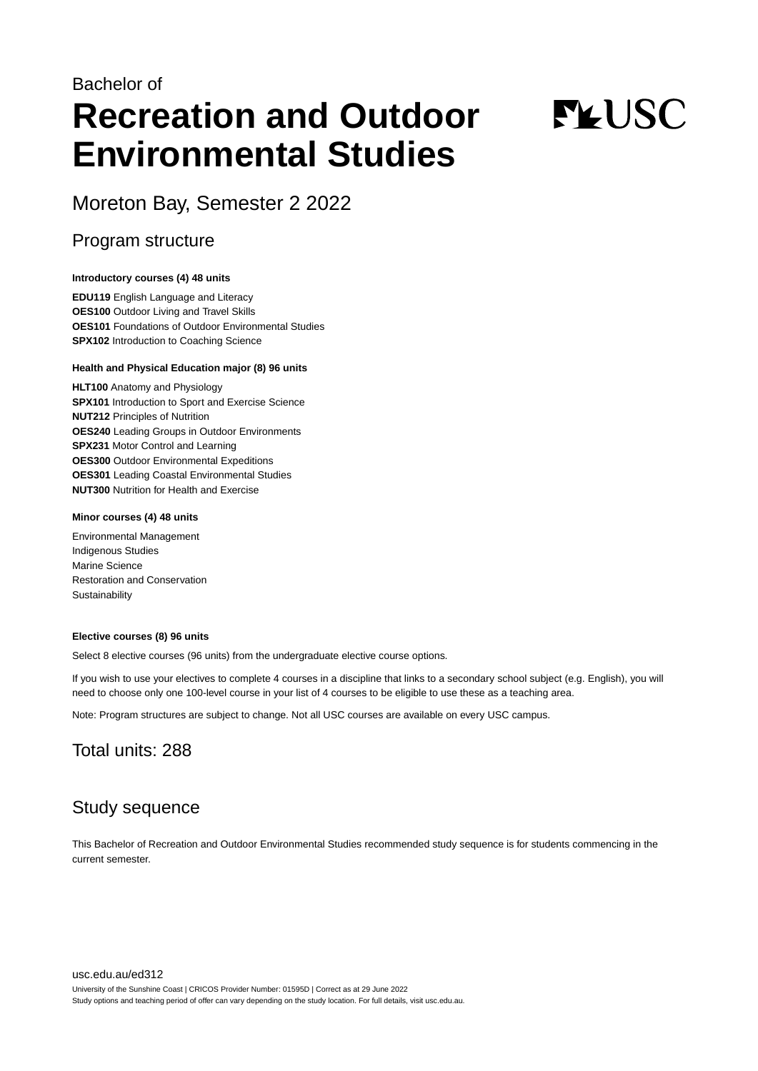## Bachelor of **Recreation and Outdoor Environmental Studies**

# **FLUSC**

Moreton Bay, Semester 2 2022

### Program structure

#### **Introductory courses (4) 48 units**

**EDU119** English Language and Literacy **OES100** Outdoor Living and Travel Skills **OES101** Foundations of Outdoor Environmental Studies **SPX102** Introduction to Coaching Science

#### **Health and Physical Education major (8) 96 units**

**HLT100** Anatomy and Physiology **SPX101** Introduction to Sport and Exercise Science **NUT212** Principles of Nutrition **OES240** Leading Groups in Outdoor Environments **SPX231** Motor Control and Learning **OES300** Outdoor Environmental Expeditions **OES301** Leading Coastal Environmental Studies **NUT300** Nutrition for Health and Exercise

#### **Minor courses (4) 48 units**

Environmental Management Indigenous Studies Marine Science Restoration and Conservation **Sustainability** 

#### **Elective courses (8) 96 units**

Select 8 elective courses (96 units) from the undergraduate elective course options.

If you wish to use your electives to complete 4 courses in a discipline that links to a secondary school subject (e.g. English), you will need to choose only one 100-level course in your list of 4 courses to be eligible to use these as a teaching area.

Note: Program structures are subject to change. Not all USC courses are available on every USC campus.

## Total units: 288

## Study sequence

This Bachelor of Recreation and Outdoor Environmental Studies recommended study sequence is for students commencing in the current semester.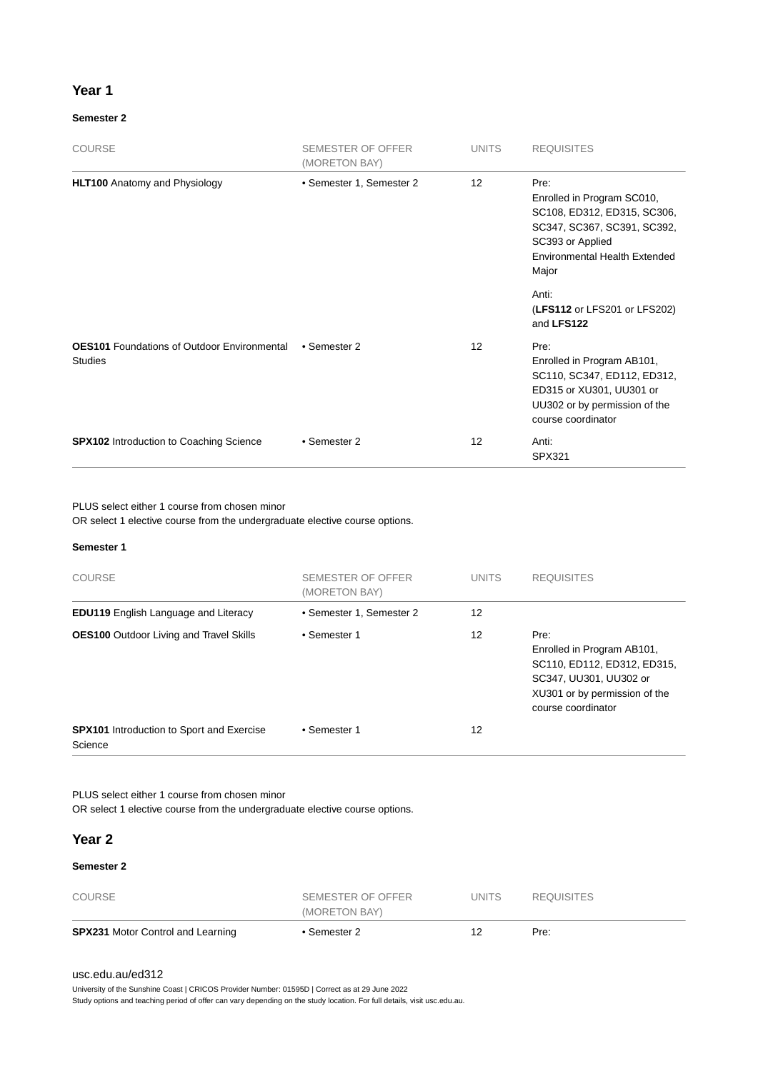#### **Year 1**

#### **Semester 2**

| <b>COURSE</b>                                                        | <b>SEMESTER OF OFFER</b><br>(MORETON BAY) | <b>UNITS</b> | <b>REQUISITES</b>                                                                                                                                                     |
|----------------------------------------------------------------------|-------------------------------------------|--------------|-----------------------------------------------------------------------------------------------------------------------------------------------------------------------|
| <b>HLT100</b> Anatomy and Physiology                                 | • Semester 1, Semester 2                  | 12           | Pre:<br>Enrolled in Program SC010,<br>SC108, ED312, ED315, SC306,<br>SC347, SC367, SC391, SC392,<br>SC393 or Applied<br><b>Environmental Health Extended</b><br>Major |
|                                                                      |                                           |              | Anti:<br>(LFS112 or LFS201 or LFS202)<br>and LFS122                                                                                                                   |
| <b>OES101</b> Foundations of Outdoor Environmental<br><b>Studies</b> | • Semester 2                              | 12           | Pre:<br>Enrolled in Program AB101,<br>SC110, SC347, ED112, ED312,<br>ED315 or XU301, UU301 or<br>UU302 or by permission of the<br>course coordinator                  |
| <b>SPX102</b> Introduction to Coaching Science                       | • Semester 2                              | 12           | Anti:<br><b>SPX321</b>                                                                                                                                                |

PLUS select either 1 course from chosen minor

OR select 1 elective course from the undergraduate elective course options.

#### **Semester 1**

| <b>COURSE</b>                                               | SEMESTER OF OFFER<br>(MORETON BAY) | <b>UNITS</b> | <b>REQUISITES</b>                                                                                                                                  |
|-------------------------------------------------------------|------------------------------------|--------------|----------------------------------------------------------------------------------------------------------------------------------------------------|
| <b>EDU119</b> English Language and Literacy                 | • Semester 1, Semester 2           | 12           |                                                                                                                                                    |
| <b>OES100</b> Outdoor Living and Travel Skills              | • Semester 1                       | 12           | Pre:<br>Enrolled in Program AB101,<br>SC110, ED112, ED312, ED315,<br>SC347, UU301, UU302 or<br>XU301 or by permission of the<br>course coordinator |
| <b>SPX101</b> Introduction to Sport and Exercise<br>Science | • Semester 1                       | 12           |                                                                                                                                                    |

PLUS select either 1 course from chosen minor

OR select 1 elective course from the undergraduate elective course options.

#### **Year 2**

#### **Semester 2**

| <b>SPX231 Motor Control and Learning</b> | • Semester 2      |       | Pre:              |  |
|------------------------------------------|-------------------|-------|-------------------|--|
|                                          | (MORETON BAY)     |       |                   |  |
| <b>COURSE</b>                            | SEMESTER OF OFFER | UNITS | <b>REQUISITES</b> |  |

#### [usc.edu.au/ed312](https://www.usc.edu.au/ed312)

University of the Sunshine Coast | CRICOS Provider Number: 01595D | Correct as at 29 June 2022

Study options and teaching period of offer can vary depending on the study location. For full details, visit usc.edu.au.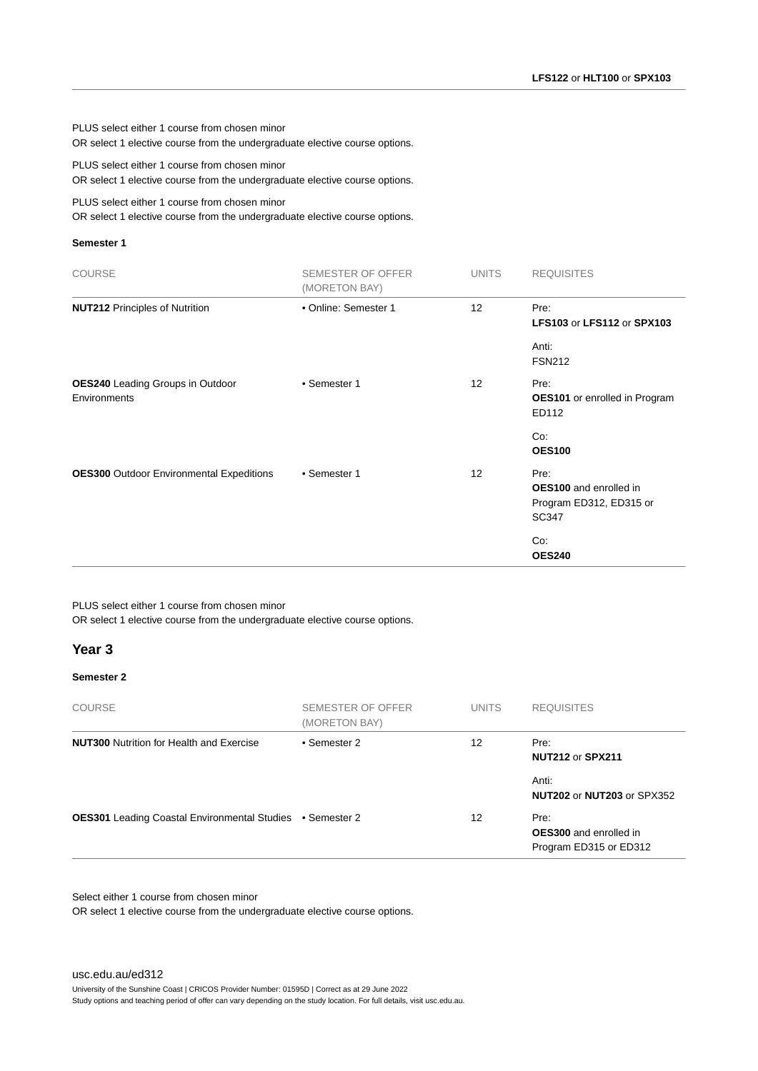PLUS select either 1 course from chosen minor OR select 1 elective course from the undergraduate elective course options.

PLUS select either 1 course from chosen minor OR select 1 elective course from the undergraduate elective course options.

PLUS select either 1 course from chosen minor

OR select 1 elective course from the undergraduate elective course options.

#### **Semester 1**

| <b>COURSE</b>                                           | <b>SEMESTER OF OFFER</b><br>(MORETON BAY) | <b>UNITS</b>    | <b>REQUISITES</b>                                                                |
|---------------------------------------------------------|-------------------------------------------|-----------------|----------------------------------------------------------------------------------|
| <b>NUT212 Principles of Nutrition</b>                   | • Online: Semester 1                      | 12              | Pre:<br><b>LFS103 or LFS112 or SPX103</b>                                        |
|                                                         |                                           |                 | Anti:<br><b>FSN212</b>                                                           |
| <b>OES240</b> Leading Groups in Outdoor<br>Environments | • Semester 1                              | 12 <sup>2</sup> | Pre:<br><b>OES101</b> or enrolled in Program<br>ED112                            |
|                                                         |                                           |                 | Co:<br><b>OES100</b>                                                             |
| <b>OES300</b> Outdoor Environmental Expeditions         | • Semester 1                              | 12 <sup>2</sup> | Pre:<br><b>OES100</b> and enrolled in<br>Program ED312, ED315 or<br><b>SC347</b> |
|                                                         |                                           |                 | Co:<br><b>OES240</b>                                                             |

PLUS select either 1 course from chosen minor

OR select 1 elective course from the undergraduate elective course options.

#### **Year 3**

#### **Semester 2**

| <b>COURSE</b>                                                    | SEMESTER OF OFFER<br>(MORETON BAY) | <b>UNITS</b> | <b>REQUISITES</b>                                               |
|------------------------------------------------------------------|------------------------------------|--------------|-----------------------------------------------------------------|
| <b>NUT300</b> Nutrition for Health and Exercise                  | • Semester 2                       | 12           | Pre:<br><b>NUT212 or SPX211</b>                                 |
|                                                                  |                                    |              | Anti:<br><b>NUT202 or NUT203 or SPX352</b>                      |
| <b>OES301</b> Leading Coastal Environmental Studies • Semester 2 |                                    | 12           | Pre:<br><b>OES300</b> and enrolled in<br>Program ED315 or ED312 |

Select either 1 course from chosen minor

OR select 1 elective course from the undergraduate elective course options.

[usc.edu.au/ed312](https://www.usc.edu.au/ed312) University of the Sunshine Coast | CRICOS Provider Number: 01595D | Correct as at 29 June 2022

Study options and teaching period of offer can vary depending on the study location. For full details, visit usc.edu.au.